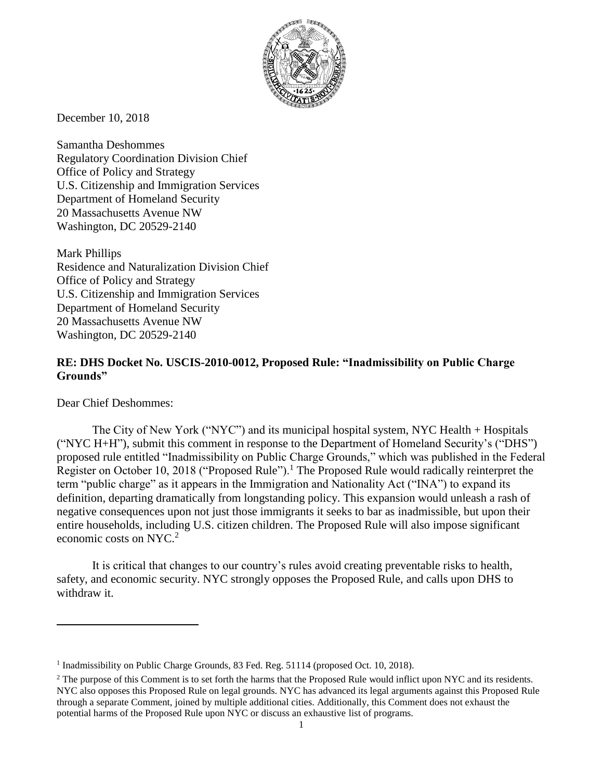

December 10, 2018

Samantha Deshommes Regulatory Coordination Division Chief Office of Policy and Strategy U.S. Citizenship and Immigration Services Department of Homeland Security 20 Massachusetts Avenue NW Washington, DC 20529-2140

Mark Phillips Residence and Naturalization Division Chief Office of Policy and Strategy U.S. Citizenship and Immigration Services Department of Homeland Security 20 Massachusetts Avenue NW Washington, DC 20529-2140

## **RE: DHS Docket No. USCIS-2010-0012, Proposed Rule: "Inadmissibility on Public Charge Grounds"**

Dear Chief Deshommes:

 $\overline{a}$ 

The City of New York ("NYC") and its municipal hospital system, NYC Health + Hospitals ("NYC H+H"), submit this comment in response to the Department of Homeland Security's ("DHS") proposed rule entitled "Inadmissibility on Public Charge Grounds," which was published in the Federal Register on October 10, 2018 ("Proposed Rule").<sup>1</sup> The Proposed Rule would radically reinterpret the term "public charge" as it appears in the Immigration and Nationality Act ("INA") to expand its definition, departing dramatically from longstanding policy. This expansion would unleash a rash of negative consequences upon not just those immigrants it seeks to bar as inadmissible, but upon their entire households, including U.S. citizen children. The Proposed Rule will also impose significant economic costs on NYC.<sup>2</sup>

It is critical that changes to our country's rules avoid creating preventable risks to health, safety, and economic security. NYC strongly opposes the Proposed Rule, and calls upon DHS to withdraw it.

<sup>&</sup>lt;sup>1</sup> Inadmissibility on Public Charge Grounds, 83 Fed. Reg. 51114 (proposed Oct. 10, 2018).

<sup>&</sup>lt;sup>2</sup> The purpose of this Comment is to set forth the harms that the Proposed Rule would inflict upon NYC and its residents. NYC also opposes this Proposed Rule on legal grounds. NYC has advanced its legal arguments against this Proposed Rule through a separate Comment, joined by multiple additional cities. Additionally, this Comment does not exhaust the potential harms of the Proposed Rule upon NYC or discuss an exhaustive list of programs.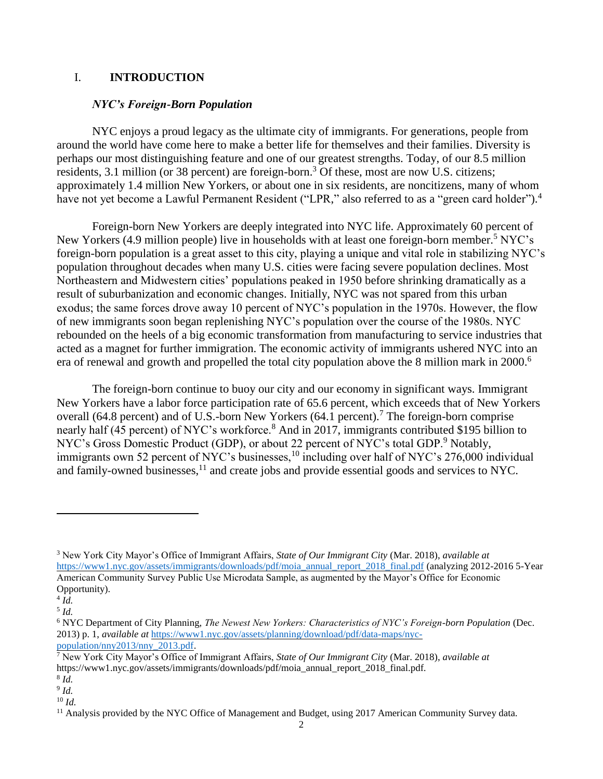#### I. **INTRODUCTION**

#### *NYC's Foreign-Born Population*

NYC enjoys a proud legacy as the ultimate city of immigrants. For generations, people from around the world have come here to make a better life for themselves and their families. Diversity is perhaps our most distinguishing feature and one of our greatest strengths. Today, of our 8.5 million residents, 3.1 million (or 38 percent) are foreign-born.<sup>3</sup> Of these, most are now U.S. citizens; approximately 1.4 million New Yorkers, or about one in six residents, are noncitizens, many of whom have not yet become a Lawful Permanent Resident ("LPR," also referred to as a "green card holder").<sup>4</sup>

Foreign-born New Yorkers are deeply integrated into NYC life. Approximately 60 percent of New Yorkers (4.9 million people) live in households with at least one foreign-born member.<sup>5</sup> NYC's foreign-born population is a great asset to this city, playing a unique and vital role in stabilizing NYC's population throughout decades when many U.S. cities were facing severe population declines. Most Northeastern and Midwestern cities' populations peaked in 1950 before shrinking dramatically as a result of suburbanization and economic changes. Initially, NYC was not spared from this urban exodus; the same forces drove away 10 percent of NYC's population in the 1970s. However, the flow of new immigrants soon began replenishing NYC's population over the course of the 1980s. NYC rebounded on the heels of a big economic transformation from manufacturing to service industries that acted as a magnet for further immigration. The economic activity of immigrants ushered NYC into an era of renewal and growth and propelled the total city population above the 8 million mark in 2000.<sup>6</sup>

The foreign-born continue to buoy our city and our economy in significant ways. Immigrant New Yorkers have a labor force participation rate of 65.6 percent, which exceeds that of New Yorkers overall (64.8 percent) and of U.S.-born New Yorkers (64.1 percent).<sup>7</sup> The foreign-born comprise nearly half (45 percent) of NYC's workforce.<sup>8</sup> And in 2017, immigrants contributed \$195 billion to NYC's Gross Domestic Product (GDP), or about 22 percent of NYC's total GDP.<sup>9</sup> Notably, immigrants own 52 percent of NYC's businesses,<sup>10</sup> including over half of NYC's 276,000 individual and family-owned businesses,<sup>11</sup> and create jobs and provide essential goods and services to NYC.

<sup>3</sup> New York City Mayor's Office of Immigrant Affairs, *State of Our Immigrant City* (Mar. 2018), *available at*  [https://www1.nyc.gov/assets/immigrants/downloads/pdf/moia\\_annual\\_report\\_2018\\_final.pdf](https://www1.nyc.gov/assets/immigrants/downloads/pdf/moia_annual_report_2018_final.pdf) (analyzing 2012-2016 5-Year American Community Survey Public Use Microdata Sample, as augmented by the Mayor's Office for Economic Opportunity).

<sup>4</sup> *Id.*  5 *Id.*

<sup>6</sup> NYC Department of City Planning, *The Newest New Yorkers: Characteristics of NYC's Foreign-born Population* (Dec. 2013) p. 1, *available at* [https://www1.nyc.gov/assets/planning/download/pdf/data-maps/nyc](https://www1.nyc.gov/assets/planning/download/pdf/data-maps/nyc-population/nny2013/nny_2013.pdf)[population/nny2013/nny\\_2013.pdf.](https://www1.nyc.gov/assets/planning/download/pdf/data-maps/nyc-population/nny2013/nny_2013.pdf)

<sup>7</sup> New York City Mayor's Office of Immigrant Affairs, *State of Our Immigrant City* (Mar. 2018), *available at* https://www1.nyc.gov/assets/immigrants/downloads/pdf/moia\_annual\_report\_2018\_final.pdf.

<sup>8</sup> *Id.*

<sup>9</sup> *Id.*

<sup>10</sup> *Id.*

<sup>&</sup>lt;sup>11</sup> Analysis provided by the NYC Office of Management and Budget, using 2017 American Community Survey data.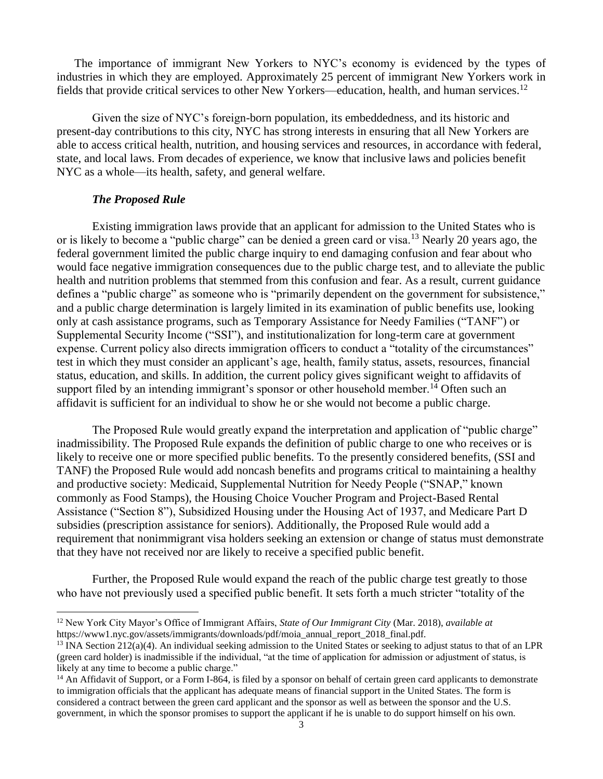The importance of immigrant New Yorkers to NYC's economy is evidenced by the types of industries in which they are employed. Approximately 25 percent of immigrant New Yorkers work in fields that provide critical services to other New Yorkers—education, health, and human services.<sup>12</sup>

Given the size of NYC's foreign-born population, its embeddedness, and its historic and present-day contributions to this city, NYC has strong interests in ensuring that all New Yorkers are able to access critical health, nutrition, and housing services and resources, in accordance with federal, state, and local laws. From decades of experience, we know that inclusive laws and policies benefit NYC as a whole—its health, safety, and general welfare.

#### *The Proposed Rule*

 $\overline{a}$ 

Existing immigration laws provide that an applicant for admission to the United States who is or is likely to become a "public charge" can be denied a green card or visa.<sup>13</sup> Nearly 20 years ago, the federal government limited the public charge inquiry to end damaging confusion and fear about who would face negative immigration consequences due to the public charge test, and to alleviate the public health and nutrition problems that stemmed from this confusion and fear. As a result, current guidance defines a "public charge" as someone who is "primarily dependent on the government for subsistence," and a public charge determination is largely limited in its examination of public benefits use, looking only at cash assistance programs, such as Temporary Assistance for Needy Families ("TANF") or Supplemental Security Income ("SSI"), and institutionalization for long-term care at government expense. Current policy also directs immigration officers to conduct a "totality of the circumstances" test in which they must consider an applicant's age, health, family status, assets, resources, financial status, education, and skills. In addition, the current policy gives significant weight to affidavits of support filed by an intending immigrant's sponsor or other household member.<sup>14</sup> Often such an affidavit is sufficient for an individual to show he or she would not become a public charge.

The Proposed Rule would greatly expand the interpretation and application of "public charge" inadmissibility. The Proposed Rule expands the definition of public charge to one who receives or is likely to receive one or more specified public benefits. To the presently considered benefits, (SSI and TANF) the Proposed Rule would add noncash benefits and programs critical to maintaining a healthy and productive society: Medicaid, Supplemental Nutrition for Needy People ("SNAP," known commonly as Food Stamps), the Housing Choice Voucher Program and Project-Based Rental Assistance ("Section 8"), Subsidized Housing under the Housing Act of 1937, and Medicare Part D subsidies (prescription assistance for seniors). Additionally, the Proposed Rule would add a requirement that nonimmigrant visa holders seeking an extension or change of status must demonstrate that they have not received nor are likely to receive a specified public benefit.

Further, the Proposed Rule would expand the reach of the public charge test greatly to those who have not previously used a specified public benefit. It sets forth a much stricter "totality of the

<sup>12</sup> New York City Mayor's Office of Immigrant Affairs, *State of Our Immigrant City* (Mar. 2018), *available at* https://www1.nyc.gov/assets/immigrants/downloads/pdf/moia\_annual\_report\_2018\_final.pdf.

 $13 \text{INA Section } 212(a)(4)$ . An individual seeking admission to the United States or seeking to adjust status to that of an LPR (green card holder) is inadmissible if the individual, "at the time of application for admission or adjustment of status, is likely at any time to become a public charge."

<sup>&</sup>lt;sup>14</sup> An Affidavit of Support, or a Form I-864, is filed by a sponsor on behalf of certain green card applicants to demonstrate to immigration officials that the applicant has adequate means of financial support in the United States. The form is considered a contract between the green card applicant and the sponsor as well as between the sponsor and the U.S. government, in which the sponsor promises to support the applicant if he is unable to do support himself on his own.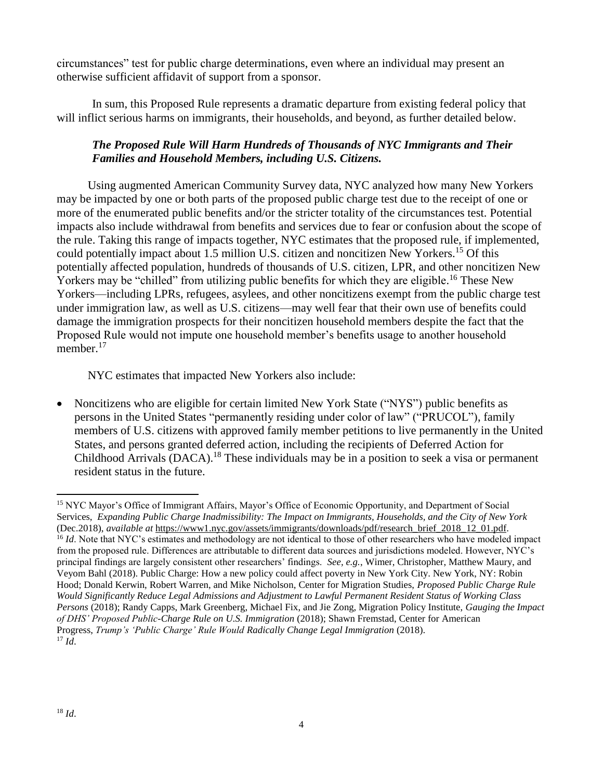circumstances" test for public charge determinations, even where an individual may present an otherwise sufficient affidavit of support from a sponsor.

In sum, this Proposed Rule represents a dramatic departure from existing federal policy that will inflict serious harms on immigrants, their households, and beyond, as further detailed below.

# *The Proposed Rule Will Harm Hundreds of Thousands of NYC Immigrants and Their Families and Household Members, including U.S. Citizens.*

Using augmented American Community Survey data, NYC analyzed how many New Yorkers may be impacted by one or both parts of the proposed public charge test due to the receipt of one or more of the enumerated public benefits and/or the stricter totality of the circumstances test. Potential impacts also include withdrawal from benefits and services due to fear or confusion about the scope of the rule. Taking this range of impacts together, NYC estimates that the proposed rule, if implemented, could potentially impact about 1.5 million U.S. citizen and noncitizen New Yorkers.<sup>15</sup> Of this potentially affected population, hundreds of thousands of U.S. citizen, LPR, and other noncitizen New Yorkers may be "chilled" from utilizing public benefits for which they are eligible.<sup>16</sup> These New Yorkers—including LPRs, refugees, asylees, and other noncitizens exempt from the public charge test under immigration law, as well as U.S. citizens—may well fear that their own use of benefits could damage the immigration prospects for their noncitizen household members despite the fact that the Proposed Rule would not impute one household member's benefits usage to another household member.<sup>17</sup>

NYC estimates that impacted New Yorkers also include:

• Noncitizens who are eligible for certain limited New York State ("NYS") public benefits as persons in the United States "permanently residing under color of law" ("PRUCOL"), family members of U.S. citizens with approved family member petitions to live permanently in the United States, and persons granted deferred action, including the recipients of Deferred Action for Childhood Arrivals (DACA).<sup>18</sup> These individuals may be in a position to seek a visa or permanent resident status in the future.

<sup>&</sup>lt;sup>15</sup> NYC Mayor's Office of Immigrant Affairs, Mayor's Office of Economic Opportunity, and Department of Social Services, *Expanding Public Charge Inadmissibility: The Impact on Immigrants, Households, and the City of New York*  (Dec.2018), *available at* [https://www1.nyc.gov/assets/immigrants/downloads/pdf/research\\_brief\\_2018\\_12\\_01.pdf.](https://www1.nyc.gov/assets/immigrants/downloads/pdf/research_brief_2018_12_01.pdf) <sup>16</sup> *Id*. Note that NYC's estimates and methodology are not identical to those of other researchers who have modeled impact from the proposed rule. Differences are attributable to different data sources and jurisdictions modeled. However, NYC's principal findings are largely consistent other researchers' findings. *See, e.g.*, Wimer, Christopher, Matthew Maury, and Veyom Bahl (2018). Public Charge: How a new policy could affect poverty in New York City. New York, NY: Robin Hood; Donald Kerwin, Robert Warren, and Mike Nicholson, Center for Migration Studies, *Proposed Public Charge Rule Would Significantly Reduce Legal Admissions and Adjustment to Lawful Permanent Resident Status of Working Class Persons* (2018); Randy Capps, Mark Greenberg, Michael Fix, and Jie Zong, Migration Policy Institute, *Gauging the Impact of DHS' Proposed Public-Charge Rule on U.S. Immigration* (2018); Shawn Fremstad, Center for American Progress, *Trump's 'Public Charge' Rule Would Radically Change Legal Immigration* (2018). <sup>17</sup> *Id*.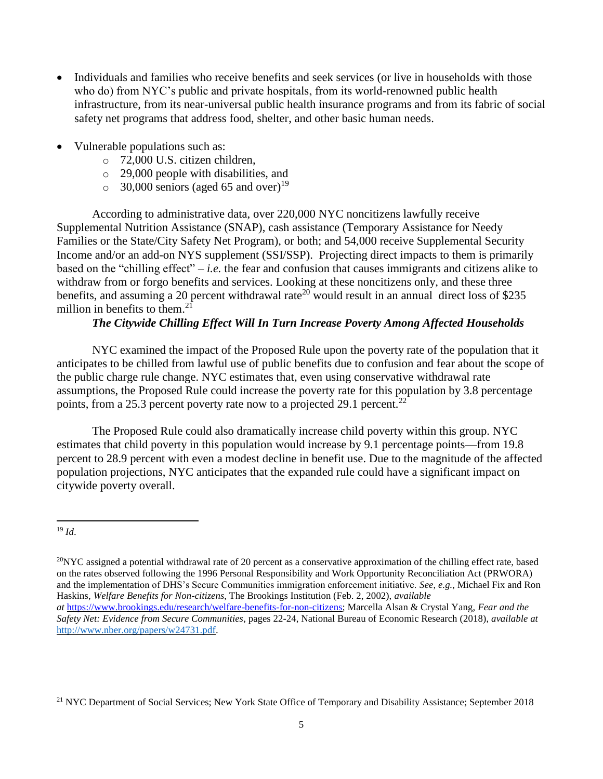- Individuals and families who receive benefits and seek services (or live in households with those who do) from NYC's public and private hospitals, from its world-renowned public health infrastructure, from its near-universal public health insurance programs and from its fabric of social safety net programs that address food, shelter, and other basic human needs.
- Vulnerable populations such as:
	- o 72,000 U.S. citizen children,
	- o 29,000 people with disabilities, and
	- $\circ$  30,000 seniors (aged 65 and over)<sup>19</sup>

According to administrative data, over 220,000 NYC noncitizens lawfully receive Supplemental Nutrition Assistance (SNAP), cash assistance (Temporary Assistance for Needy Families or the State/City Safety Net Program), or both; and 54,000 receive Supplemental Security Income and/or an add-on NYS supplement (SSI/SSP). Projecting direct impacts to them is primarily based on the "chilling effect" – *i.e.* the fear and confusion that causes immigrants and citizens alike to withdraw from or forgo benefits and services. Looking at these noncitizens only, and these three benefits, and assuming a 20 percent withdrawal rate<sup>20</sup> would result in an annual direct loss of \$235 million in benefits to them.<sup>21</sup>

# *The Citywide Chilling Effect Will In Turn Increase Poverty Among Affected Households*

NYC examined the impact of the Proposed Rule upon the poverty rate of the population that it anticipates to be chilled from lawful use of public benefits due to confusion and fear about the scope of the public charge rule change. NYC estimates that, even using conservative withdrawal rate assumptions, the Proposed Rule could increase the poverty rate for this population by 3.8 percentage points, from a 25.3 percent poverty rate now to a projected 29.1 percent.<sup>22</sup>

The Proposed Rule could also dramatically increase child poverty within this group. NYC estimates that child poverty in this population would increase by 9.1 percentage points—from 19.8 percent to 28.9 percent with even a modest decline in benefit use. Due to the magnitude of the affected population projections, NYC anticipates that the expanded rule could have a significant impact on citywide poverty overall.

 $\ddot{\phantom{a}}$ 

<sup>21</sup> NYC Department of Social Services; New York State Office of Temporary and Disability Assistance; September 2018

<sup>19</sup> *Id*.

 $^{20}$ NYC assigned a potential withdrawal rate of 20 percent as a conservative approximation of the chilling effect rate, based on the rates observed following the 1996 Personal Responsibility and Work Opportunity Reconciliation Act (PRWORA) and the implementation of DHS's Secure Communities immigration enforcement initiative. *See*, *e.g.*, Michael Fix and Ron Haskins, *Welfare Benefits for Non-citizens*, The Brookings Institution (Feb. 2, 2002), *available at* [https://www.brookings.edu/research/welfare-benefits-for-non-citizens;](https://cityhallmail.nyc.gov/owa/redir.aspx?C=c_-3zlFu17Gs6oV1WUEZeeW--kI3PobGCZGhLVaYdbDgx7QgJUzWCA..&URL=https%3a%2f%2fwww.brookings.edu%2fresearch%2fwelfare-benefits-for-non-citizens) Marcella Alsan & Crystal Yang, *Fear and the Safety Net: Evidence from Secure Communities*, pages 22-24, National Bureau of Economic Research (2018), *available at* [http://www.nber.org/papers/w24731.pdf.](http://www.nber.org/papers/w24731.pdf)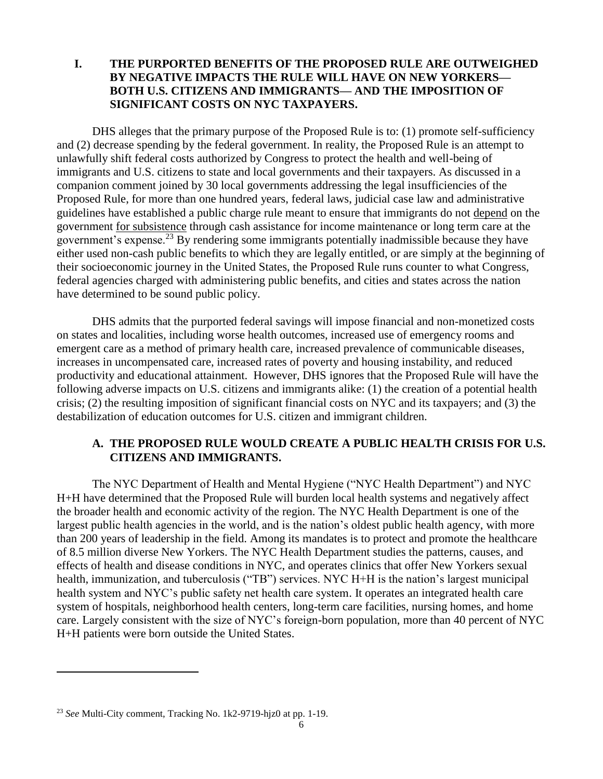## **I. THE PURPORTED BENEFITS OF THE PROPOSED RULE ARE OUTWEIGHED BY NEGATIVE IMPACTS THE RULE WILL HAVE ON NEW YORKERS— BOTH U.S. CITIZENS AND IMMIGRANTS— AND THE IMPOSITION OF SIGNIFICANT COSTS ON NYC TAXPAYERS.**

DHS alleges that the primary purpose of the Proposed Rule is to: (1) promote self-sufficiency and (2) decrease spending by the federal government. In reality, the Proposed Rule is an attempt to unlawfully shift federal costs authorized by Congress to protect the health and well-being of immigrants and U.S. citizens to state and local governments and their taxpayers. As discussed in a companion comment joined by 30 local governments addressing the legal insufficiencies of the Proposed Rule, for more than one hundred years, federal laws, judicial case law and administrative guidelines have established a public charge rule meant to ensure that immigrants do not depend on the government for subsistence through cash assistance for income maintenance or long term care at the government's expense.<sup>23</sup> By rendering some immigrants potentially inadmissible because they have either used non-cash public benefits to which they are legally entitled, or are simply at the beginning of their socioeconomic journey in the United States, the Proposed Rule runs counter to what Congress, federal agencies charged with administering public benefits, and cities and states across the nation have determined to be sound public policy.

DHS admits that the purported federal savings will impose financial and non-monetized costs on states and localities, including worse health outcomes, increased use of emergency rooms and emergent care as a method of primary health care, increased prevalence of communicable diseases, increases in uncompensated care, increased rates of poverty and housing instability, and reduced productivity and educational attainment. However, DHS ignores that the Proposed Rule will have the following adverse impacts on U.S. citizens and immigrants alike: (1) the creation of a potential health crisis; (2) the resulting imposition of significant financial costs on NYC and its taxpayers; and (3) the destabilization of education outcomes for U.S. citizen and immigrant children.

## **A. THE PROPOSED RULE WOULD CREATE A PUBLIC HEALTH CRISIS FOR U.S. CITIZENS AND IMMIGRANTS.**

The NYC Department of Health and Mental Hygiene ("NYC Health Department") and NYC H+H have determined that the Proposed Rule will burden local health systems and negatively affect the broader health and economic activity of the region. The NYC Health Department is one of the largest public health agencies in the world, and is the nation's oldest public health agency, with more than 200 years of leadership in the field. Among its mandates is to protect and promote the healthcare of 8.5 million diverse New Yorkers. The NYC Health Department studies the patterns, causes, and effects of health and disease conditions in NYC, and operates clinics that offer New Yorkers sexual health, immunization, and tuberculosis ("TB") services. NYC H+H is the nation's largest municipal health system and NYC's public safety net health care system. It operates an integrated health care system of hospitals, neighborhood health centers, long-term care facilities, nursing homes, and home care. Largely consistent with the size of NYC's foreign-born population, more than 40 percent of NYC H+H patients were born outside the United States.

<sup>23</sup> *See* Multi-City comment, Tracking No. 1k2-9719-hjz0 at pp. 1-19.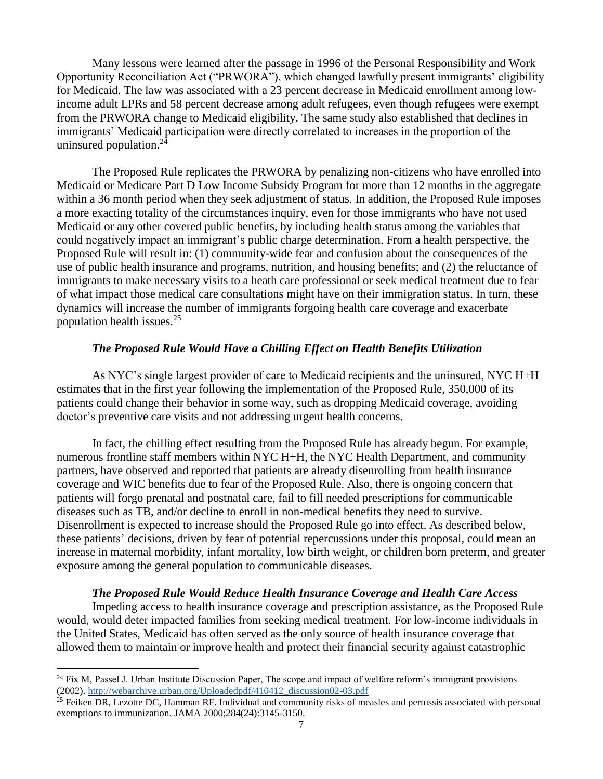Many lessons were learned after the passage in 1996 of the Personal Responsibility and Work Opportunity Reconciliation Act ("PRWORA"), which changed lawfully present immigrants' eligibility for Medicaid. The law was associated with a 23 percent decrease in Medicaid enrollment among lowincome adult LPRs and 58 percent decrease among adult refugees, even though refugees were exempt from the PRWORA change to Medicaid eligibility. The same study also established that declines in immigrants' Medicaid participation were directly correlated to increases in the proportion of the uninsured population.<sup>24</sup>

The Proposed Rule replicates the PRWORA by penalizing non-citizens who have enrolled into Medicaid or Medicare Part D Low Income Subsidy Program for more than 12 months in the aggregate within a 36 month period when they seek adjustment of status. In addition, the Proposed Rule imposes a more exacting totality of the circumstances inquiry, even for those immigrants who have not used Medicaid or any other covered public benefits, by including health status among the variables that could negatively impact an immigrant's public charge determination. From a health perspective, the Proposed Rule will result in: (1) community-wide fear and confusion about the consequences of the use of public health insurance and programs, nutrition, and housing benefits; and (2) the reluctance of immigrants to make necessary visits to a heath care professional or seek medical treatment due to fear of what impact those medical care consultations might have on their immigration status. In turn, these dynamics will increase the number of immigrants forgoing health care coverage and exacerbate population health issues.<sup>25</sup>

### *The Proposed Rule Would Have a Chilling Effect on Health Benefits Utilization*

As NYC's single largest provider of care to Medicaid recipients and the uninsured, NYC H+H estimates that in the first year following the implementation of the Proposed Rule, 350,000 of its patients could change their behavior in some way, such as dropping Medicaid coverage, avoiding doctor's preventive care visits and not addressing urgent health concerns.

In fact, the chilling effect resulting from the Proposed Rule has already begun. For example, numerous frontline staff members within NYC H+H, the NYC Health Department, and community partners, have observed and reported that patients are already disenrolling from health insurance coverage and WIC benefits due to fear of the Proposed Rule. Also, there is ongoing concern that patients will forgo prenatal and postnatal care, fail to fill needed prescriptions for communicable diseases such as TB, and/or decline to enroll in non-medical benefits they need to survive. Disenrollment is expected to increase should the Proposed Rule go into effect. As described below, these patients' decisions, driven by fear of potential repercussions under this proposal, could mean an increase in maternal morbidity, infant mortality, low birth weight, or children born preterm, and greater exposure among the general population to communicable diseases.

## *The Proposed Rule Would Reduce Health Insurance Coverage and Health Care Access*

Impeding access to health insurance coverage and prescription assistance, as the Proposed Rule would, would deter impacted families from seeking medical treatment. For low-income individuals in the United States, Medicaid has often served as the only source of health insurance coverage that allowed them to maintain or improve health and protect their financial security against catastrophic

 $24$  Fix M, Passel J. Urban Institute Discussion Paper, The scope and impact of welfare reform's immigrant provisions (2002). [http://webarchive.urban.org/Uploadedpdf/410412\\_discussion02-03.pdf](http://webarchive.urban.org/Uploadedpdf/410412_discussion02-03.pdf)

 $^{25}$  Feiken DR, Lezotte DC, Hamman RF. Individual and community risks of measles and pertussis associated with personal exemptions to immunization. JAMA 2000;284(24):3145-3150.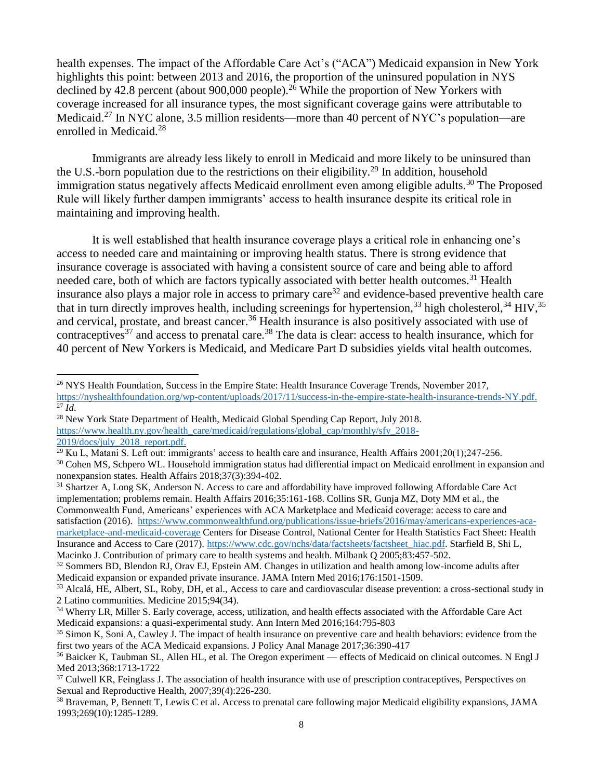health expenses. The impact of the Affordable Care Act's ("ACA") Medicaid expansion in New York highlights this point: between 2013 and 2016, the proportion of the uninsured population in NYS declined by 42.8 percent (about 900,000 people).<sup>26</sup> While the proportion of New Yorkers with coverage increased for all insurance types, the most significant coverage gains were attributable to Medicaid.<sup>27</sup> In NYC alone, 3.5 million residents—more than 40 percent of NYC's population—are enrolled in Medicaid.<sup>28</sup>

Immigrants are already less likely to enroll in Medicaid and more likely to be uninsured than the U.S.-born population due to the restrictions on their eligibility.<sup>29</sup> In addition, household immigration status negatively affects Medicaid enrollment even among eligible adults.<sup>30</sup> The Proposed Rule will likely further dampen immigrants' access to health insurance despite its critical role in maintaining and improving health.

It is well established that health insurance coverage plays a critical role in enhancing one's access to needed care and maintaining or improving health status. There is strong evidence that insurance coverage is associated with having a consistent source of care and being able to afford needed care, both of which are factors typically associated with better health outcomes.<sup>31</sup> Health insurance also plays a major role in access to primary care<sup>32</sup> and evidence-based preventive health care that in turn directly improves health, including screenings for hypertension,  $33$  high cholesterol,  $34$  HIV,  $35$ and cervical, prostate, and breast cancer.<sup>36</sup> Health insurance is also positively associated with use of contraceptives<sup>37</sup> and access to prenatal care.<sup>38</sup> The data is clear: access to health insurance, which for 40 percent of New Yorkers is Medicaid, and Medicare Part D subsidies yields vital health outcomes.

 $\overline{a}$ 

<sup>31</sup> Shartzer A, Long SK, Anderson N. Access to care and affordability have improved following Affordable Care Act implementation; problems remain. Health Affairs 2016;35:161-168. Collins SR, Gunja MZ, Doty MM et al., the Commonwealth Fund, Americans' experiences with ACA Marketplace and Medicaid coverage: access to care and satisfaction (2016). [https://www.commonwealthfund.org/publications/issue-briefs/2016/may/americans-experiences-aca](https://www.commonwealthfund.org/publications/issue-briefs/2016/may/americans-experiences-aca-marketplace-and-medicaid-coverage)[marketplace-and-medicaid-coverage](https://www.commonwealthfund.org/publications/issue-briefs/2016/may/americans-experiences-aca-marketplace-and-medicaid-coverage) Centers for Disease Control, National Center for Health Statistics Fact Sheet: Health Insurance and Access to Care (2017). [https://www.cdc.gov/nchs/data/factsheets/factsheet\\_hiac.pdf.](https://www.cdc.gov/nchs/data/factsheets/factsheet_hiac.pdf) Starfield B, Shi L, Macinko J. Contribution of primary care to health systems and health. Milbank Q 2005;83:457-502.

<sup>&</sup>lt;sup>26</sup> NYS Health Foundation, Success in the Empire State: Health Insurance Coverage Trends, November 2017, [https://nyshealthfoundation.org/wp-content/uploads/2017/11/success-in-the-empire-state-health-insurance-trends-NY.pdf.](https://nyshealthfoundation.org/wp-content/uploads/2017/11/success-in-the-empire-state-health-insurance-trends-NY.pdf) <sup>27</sup> *Id*.

<sup>&</sup>lt;sup>28</sup> New York State Department of Health, Medicaid Global Spending Cap Report, July 2018. [https://www.health.ny.gov/health\\_care/medicaid/regulations/global\\_cap/monthly/sfy\\_2018-](https://www.health.ny.gov/health_care/medicaid/regulations/global_cap/monthly/sfy_2018-2019/docs/july_2018_report.pdf) [2019/docs/july\\_2018\\_report.pdf.](https://www.health.ny.gov/health_care/medicaid/regulations/global_cap/monthly/sfy_2018-2019/docs/july_2018_report.pdf)

<sup>&</sup>lt;sup>29</sup> Ku L, Matani S. Left out: immigrants' access to health care and insurance, Health Affairs  $2001;20(1);247-256$ . <sup>30</sup> Cohen MS, Schpero WL. Household immigration status had differential impact on Medicaid enrollment in expansion and nonexpansion states. Health Affairs 2018;37(3):394-402.

 $32$  Sommers BD, Blendon RJ, Orav EJ, Epstein AM. Changes in utilization and health among low-income adults after Medicaid expansion or expanded private insurance. JAMA Intern Med 2016;176:1501-1509.

<sup>&</sup>lt;sup>33</sup> Alcalá, HE, Albert, SL, Roby, DH, et al., Access to care and cardiovascular disease prevention: a cross-sectional study in 2 Latino communities. Medicine 2015;94(34).

<sup>&</sup>lt;sup>34</sup> Wherry LR, Miller S. Early coverage, access, utilization, and health effects associated with the Affordable Care Act Medicaid expansions: a quasi-experimental study. Ann Intern Med 2016;164:795-803

<sup>&</sup>lt;sup>35</sup> Simon K, Soni A, Cawley J. The impact of health insurance on preventive care and health behaviors: evidence from the first two years of the ACA Medicaid expansions. J Policy Anal Manage 2017;36:390-417

<sup>&</sup>lt;sup>36</sup> Baicker K, Taubman SL, Allen HL, et al. The Oregon experiment — effects of Medicaid on clinical outcomes. N Engl J Med 2013;368:1713-1722

<sup>&</sup>lt;sup>37</sup> Culwell KR, Feinglass J. The association of health insurance with use of prescription contraceptives, Perspectives on Sexual and Reproductive Health, 2007;39(4):226-230.

 $38$  Braveman, P, Bennett T, Lewis C et al. Access to prenatal care following major Medicaid eligibility expansions, JAMA 1993;269(10):1285-1289.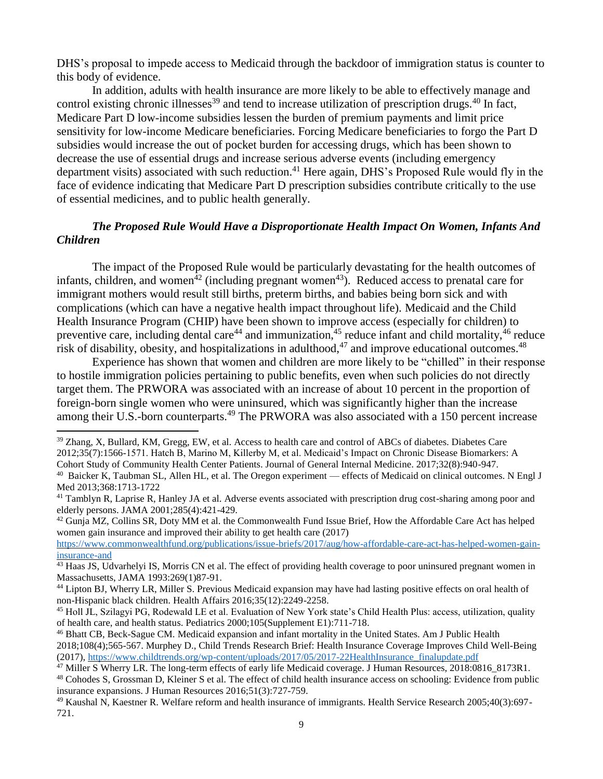DHS's proposal to impede access to Medicaid through the backdoor of immigration status is counter to this body of evidence.

In addition, adults with health insurance are more likely to be able to effectively manage and control existing chronic illnesses<sup>39</sup> and tend to increase utilization of prescription drugs.<sup>40</sup> In fact, Medicare Part D low-income subsidies lessen the burden of premium payments and limit price sensitivity for low-income Medicare beneficiaries. Forcing Medicare beneficiaries to forgo the Part D subsidies would increase the out of pocket burden for accessing drugs, which has been shown to decrease the use of essential drugs and increase serious adverse events (including emergency department visits) associated with such reduction.<sup>41</sup> Here again, DHS's Proposed Rule would fly in the face of evidence indicating that Medicare Part D prescription subsidies contribute critically to the use of essential medicines, and to public health generally.

## *The Proposed Rule Would Have a Disproportionate Health Impact On Women, Infants And Children*

The impact of the Proposed Rule would be particularly devastating for the health outcomes of infants, children, and women<sup> $42$ </sup> (including pregnant women<sup> $43$ </sup>). Reduced access to prenatal care for immigrant mothers would result still births, preterm births, and babies being born sick and with complications (which can have a negative health impact throughout life). Medicaid and the Child Health Insurance Program (CHIP) have been shown to improve access (especially for children) to preventive care, including dental care<sup>44</sup> and immunization,<sup>45</sup> reduce infant and child mortality,<sup>46</sup> reduce risk of disability, obesity, and hospitalizations in adulthood,  $47$  and improve educational outcomes.  $48$ 

Experience has shown that women and children are more likely to be "chilled" in their response to hostile immigration policies pertaining to public benefits, even when such policies do not directly target them. The PRWORA was associated with an increase of about 10 percent in the proportion of foreign-born single women who were uninsured, which was significantly higher than the increase among their U.S.-born counterparts.<sup>49</sup> The PRWORA was also associated with a 150 percent increase

 $\overline{a}$ 

 $42$  Gunja MZ, Collins SR, Doty MM et al. the Commonwealth Fund Issue Brief, How the Affordable Care Act has helped women gain insurance and improved their ability to get health care (2017)

<sup>&</sup>lt;sup>39</sup> Zhang, X, Bullard, KM, Gregg, EW, et al. Access to health care and control of ABCs of diabetes. Diabetes Care 2012;35(7):1566-1571. Hatch B, Marino M, Killerby M, et al. Medicaid's Impact on Chronic Disease Biomarkers: A Cohort Study of Community Health Center Patients. Journal of General Internal Medicine. 2017;32(8):940-947.

<sup>&</sup>lt;sup>40</sup> Baicker K, Taubman SL, Allen HL, et al. The Oregon experiment — effects of Medicaid on clinical outcomes. N Engl J Med 2013;368:1713-1722

 $41$  Tamblyn R, Laprise R, Hanley JA et al. Adverse events associated with prescription drug cost-sharing among poor and elderly persons. JAMA 2001;285(4):421-429.

[https://www.commonwealthfund.org/publications/issue-briefs/2017/aug/how-affordable-care-act-has-helped-women-gain](https://www.commonwealthfund.org/publications/issue-briefs/2017/aug/how-affordable-care-act-has-helped-women-gain-insurance-and)[insurance-and](https://www.commonwealthfund.org/publications/issue-briefs/2017/aug/how-affordable-care-act-has-helped-women-gain-insurance-and) 

<sup>&</sup>lt;sup>43</sup> Haas JS, Udvarhelyi IS, Morris CN et al. The effect of providing health coverage to poor uninsured pregnant women in Massachusetts, JAMA 1993:269(1)87-91.

<sup>&</sup>lt;sup>44</sup> Lipton BJ, Wherry LR, Miller S. Previous Medicaid expansion may have had lasting positive effects on oral health of non-Hispanic black children. Health Affairs 2016;35(12):2249-2258.

<sup>45</sup> Holl JL, Szilagyi PG, Rodewald LE et al. Evaluation of New York state's Child Health Plus: access, utilization, quality of health care, and health status. Pediatrics 2000;105(Supplement E1):711-718.

<sup>46</sup> Bhatt CB, Beck-Sague CM. Medicaid expansion and infant mortality in the United States. Am J Public Health 2018;108(4);565-567. Murphey D., Child Trends Research Brief: Health Insurance Coverage Improves Child Well-Being (2017), [https://www.childtrends.org/wp-content/uploads/2017/05/2017-22HealthInsurance\\_finalupdate.pdf](https://www.childtrends.org/wp-content/uploads/2017/05/2017-22HealthInsurance_finalupdate.pdf)

<sup>47</sup> Miller S Wherry LR. The long-term effects of early life Medicaid coverage. J Human Resources, 2018:0816\_8173R1.

<sup>48</sup> Cohodes S, Grossman D, Kleiner S et al. The effect of child health insurance access on schooling: Evidence from public insurance expansions. J Human Resources 2016;51(3):727-759.

<sup>49</sup> Kaushal N, Kaestner R. Welfare reform and health insurance of immigrants. Health Service Research 2005;40(3):697- 721.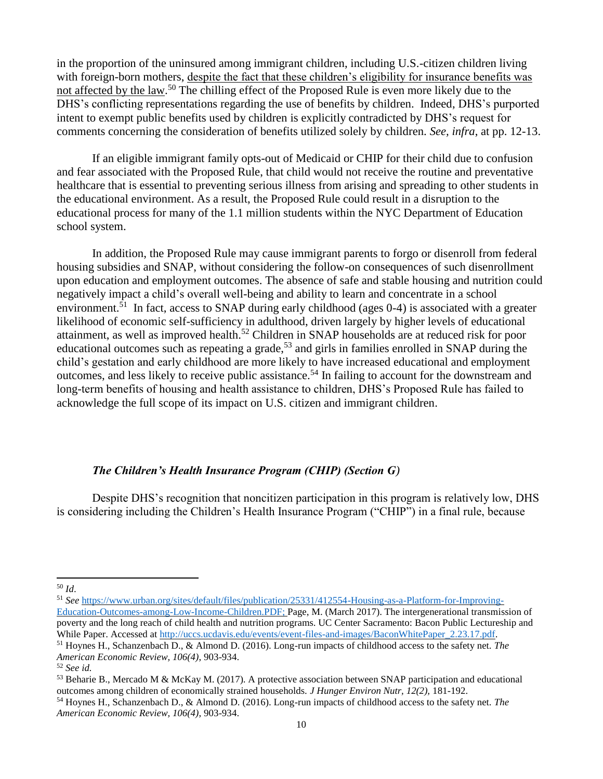in the proportion of the uninsured among immigrant children, including U.S.-citizen children living with foreign-born mothers, despite the fact that these children's eligibility for insurance benefits was not affected by the law.<sup>50</sup> The chilling effect of the Proposed Rule is even more likely due to the DHS's conflicting representations regarding the use of benefits by children. Indeed, DHS's purported intent to exempt public benefits used by children is explicitly contradicted by DHS's request for comments concerning the consideration of benefits utilized solely by children. *See, infra*, at pp. 12-13.

If an eligible immigrant family opts-out of Medicaid or CHIP for their child due to confusion and fear associated with the Proposed Rule, that child would not receive the routine and preventative healthcare that is essential to preventing serious illness from arising and spreading to other students in the educational environment. As a result, the Proposed Rule could result in a disruption to the educational process for many of the 1.1 million students within the NYC Department of Education school system.

In addition, the Proposed Rule may cause immigrant parents to forgo or disenroll from federal housing subsidies and SNAP, without considering the follow-on consequences of such disenrollment upon education and employment outcomes. The absence of safe and stable housing and nutrition could negatively impact a child's overall well-being and ability to learn and concentrate in a school environment.<sup>51</sup> In fact, access to SNAP during early childhood (ages 0-4) is associated with a greater likelihood of economic self-sufficiency in adulthood, driven largely by higher levels of educational attainment, as well as improved health.<sup>52</sup> Children in SNAP households are at reduced risk for poor educational outcomes such as repeating a grade,<sup>53</sup> and girls in families enrolled in SNAP during the child's gestation and early childhood are more likely to have increased educational and employment outcomes, and less likely to receive public assistance.<sup>54</sup> In failing to account for the downstream and long-term benefits of housing and health assistance to children, DHS's Proposed Rule has failed to acknowledge the full scope of its impact on U.S. citizen and immigrant children.

## *The Children's Health Insurance Program (CHIP) (Section G)*

Despite DHS's recognition that noncitizen participation in this program is relatively low, DHS is considering including the Children's Health Insurance Program ("CHIP") in a final rule, because

 $\overline{a}$ 

<sup>51</sup> *See* [https://www.urban.org/sites/default/files/publication/25331/412554-Housing-as-a-Platform-for-Improving-](https://www.urban.org/sites/default/files/publication/25331/412554-Housing-as-a-Platform-for-Improving-Education-Outcomes-among-Low-Income-Children.PDF)[Education-Outcomes-among-Low-Income-Children.PDF;](https://www.urban.org/sites/default/files/publication/25331/412554-Housing-as-a-Platform-for-Improving-Education-Outcomes-among-Low-Income-Children.PDF) Page, M. (March 2017). The intergenerational transmission of poverty and the long reach of child health and nutrition programs. UC Center Sacramento: Bacon Public Lectureship and While Paper. Accessed at [http://uccs.ucdavis.edu/events/event-files-and-images/BaconWhitePaper\\_2.23.17.pdf.](http://uccs.ucdavis.edu/events/event-files-and-images/BaconWhitePaper_2.23.17.pdf)

<sup>50</sup> *Id*.

<sup>51</sup> Hoynes H., Schanzenbach D., & Almond D. (2016). Long-run impacts of childhood access to the safety net. *The American Economic Review, 106(4)*, 903-934.

<sup>52</sup> *See id.*

<sup>53</sup> Beharie B., Mercado M & McKay M. (2017). A protective association between SNAP participation and educational outcomes among children of economically strained households. *J Hunger Environ Nutr, 12(2),* 181-192.

<sup>54</sup> Hoynes H., Schanzenbach D., & Almond D. (2016). Long-run impacts of childhood access to the safety net. *The American Economic Review, 106(4)*, 903-934.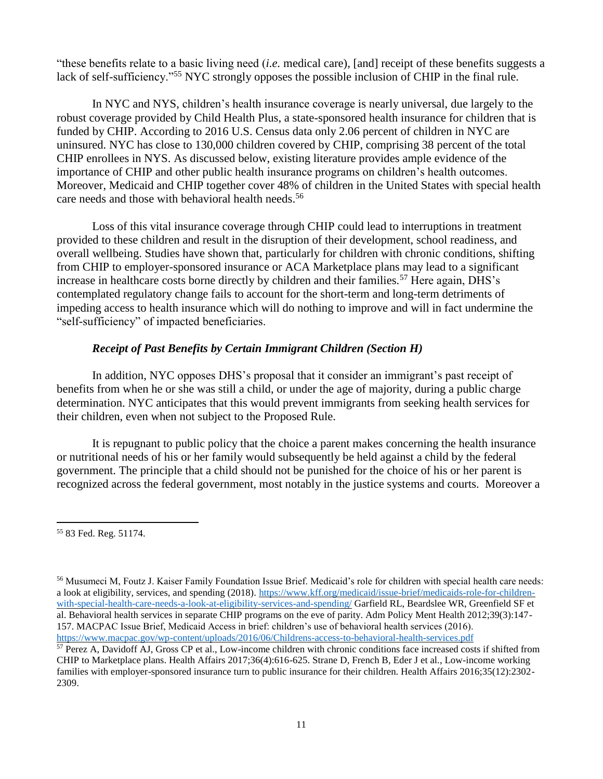"these benefits relate to a basic living need (*i.e.* medical care), [and] receipt of these benefits suggests a lack of self-sufficiency."<sup>55</sup> NYC strongly opposes the possible inclusion of CHIP in the final rule.

In NYC and NYS, children's health insurance coverage is nearly universal, due largely to the robust coverage provided by Child Health Plus, a state-sponsored health insurance for children that is funded by CHIP. According to 2016 U.S. Census data only 2.06 percent of children in NYC are uninsured. NYC has close to 130,000 children covered by CHIP, comprising 38 percent of the total CHIP enrollees in NYS. As discussed below, existing literature provides ample evidence of the importance of CHIP and other public health insurance programs on children's health outcomes. Moreover, Medicaid and CHIP together cover 48% of children in the United States with special health care needs and those with behavioral health needs.<sup>56</sup>

Loss of this vital insurance coverage through CHIP could lead to interruptions in treatment provided to these children and result in the disruption of their development, school readiness, and overall wellbeing. Studies have shown that, particularly for children with chronic conditions, shifting from CHIP to employer-sponsored insurance or ACA Marketplace plans may lead to a significant increase in healthcare costs borne directly by children and their families.<sup>57</sup> Here again, DHS's contemplated regulatory change fails to account for the short-term and long-term detriments of impeding access to health insurance which will do nothing to improve and will in fact undermine the "self-sufficiency" of impacted beneficiaries.

## *Receipt of Past Benefits by Certain Immigrant Children (Section H)*

In addition, NYC opposes DHS's proposal that it consider an immigrant's past receipt of benefits from when he or she was still a child, or under the age of majority, during a public charge determination. NYC anticipates that this would prevent immigrants from seeking health services for their children, even when not subject to the Proposed Rule.

It is repugnant to public policy that the choice a parent makes concerning the health insurance or nutritional needs of his or her family would subsequently be held against a child by the federal government. The principle that a child should not be punished for the choice of his or her parent is recognized across the federal government, most notably in the justice systems and courts. Moreover a

 $\overline{a}$ <sup>55</sup> 83 Fed. Reg. 51174.

<sup>56</sup> Musumeci M, Foutz J. Kaiser Family Foundation Issue Brief. Medicaid's role for children with special health care needs: a look at eligibility, services, and spending (2018). [https://www.kff.org/medicaid/issue-brief/medicaids-role-for-children](https://www.kff.org/medicaid/issue-brief/medicaids-role-for-children-with-special-health-care-needs-a-look-at-eligibility-services-and-spending/)[with-special-health-care-needs-a-look-at-eligibility-services-and-spending/](https://www.kff.org/medicaid/issue-brief/medicaids-role-for-children-with-special-health-care-needs-a-look-at-eligibility-services-and-spending/) Garfield RL, Beardslee WR, Greenfield SF et al. Behavioral health services in separate CHIP programs on the eve of parity. Adm Policy Ment Health 2012;39(3):147- 157. MACPAC Issue Brief, Medicaid Access in brief: children's use of behavioral health services (2016). <https://www.macpac.gov/wp-content/uploads/2016/06/Childrens-access-to-behavioral-health-services.pdf>

<sup>57</sup> Perez A, Davidoff AJ, Gross CP et al., Low-income children with chronic conditions face increased costs if shifted from CHIP to Marketplace plans. Health Affairs 2017;36(4):616-625. Strane D, French B, Eder J et al., Low-income working families with employer-sponsored insurance turn to public insurance for their children. Health Affairs 2016;35(12):2302- 2309.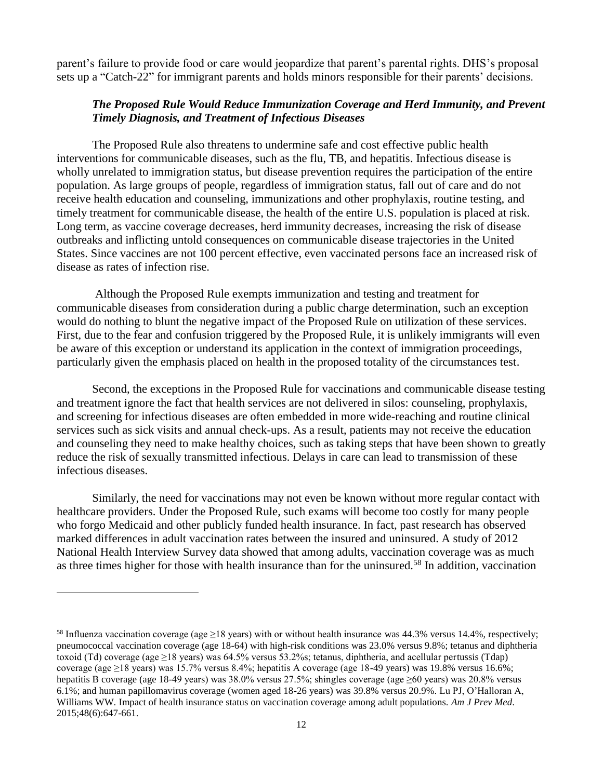parent's failure to provide food or care would jeopardize that parent's parental rights. DHS's proposal sets up a "Catch-22" for immigrant parents and holds minors responsible for their parents' decisions.

## *The Proposed Rule Would Reduce Immunization Coverage and Herd Immunity, and Prevent Timely Diagnosis, and Treatment of Infectious Diseases*

The Proposed Rule also threatens to undermine safe and cost effective public health interventions for communicable diseases, such as the flu, TB, and hepatitis. Infectious disease is wholly unrelated to immigration status, but disease prevention requires the participation of the entire population. As large groups of people, regardless of immigration status, fall out of care and do not receive health education and counseling, immunizations and other prophylaxis, routine testing, and timely treatment for communicable disease, the health of the entire U.S. population is placed at risk. Long term, as vaccine coverage decreases, herd immunity decreases, increasing the risk of disease outbreaks and inflicting untold consequences on communicable disease trajectories in the United States. Since vaccines are not 100 percent effective, even vaccinated persons face an increased risk of disease as rates of infection rise.

Although the Proposed Rule exempts immunization and testing and treatment for communicable diseases from consideration during a public charge determination, such an exception would do nothing to blunt the negative impact of the Proposed Rule on utilization of these services. First, due to the fear and confusion triggered by the Proposed Rule, it is unlikely immigrants will even be aware of this exception or understand its application in the context of immigration proceedings, particularly given the emphasis placed on health in the proposed totality of the circumstances test.

Second, the exceptions in the Proposed Rule for vaccinations and communicable disease testing and treatment ignore the fact that health services are not delivered in silos: counseling, prophylaxis, and screening for infectious diseases are often embedded in more wide-reaching and routine clinical services such as sick visits and annual check-ups. As a result, patients may not receive the education and counseling they need to make healthy choices, such as taking steps that have been shown to greatly reduce the risk of sexually transmitted infectious. Delays in care can lead to transmission of these infectious diseases.

Similarly, the need for vaccinations may not even be known without more regular contact with healthcare providers. Under the Proposed Rule, such exams will become too costly for many people who forgo Medicaid and other publicly funded health insurance. In fact, past research has observed marked differences in adult vaccination rates between the insured and uninsured. A study of 2012 National Health Interview Survey data showed that among adults, vaccination coverage was as much as three times higher for those with health insurance than for the uninsured.<sup>58</sup> In addition, vaccination

<sup>&</sup>lt;sup>58</sup> Influenza vaccination coverage (age  $\geq$ 18 years) with or without health insurance was 44.3% versus 14.4%, respectively; pneumococcal vaccination coverage (age 18-64) with high-risk conditions was 23.0% versus 9.8%; tetanus and diphtheria toxoid (Td) coverage (age  $\geq$ 18 years) was 64.5% versus 53.2%s; tetanus, diphtheria, and acellular pertussis (Tdap) coverage (age ≥18 years) was 15.7% versus 8.4%; hepatitis A coverage (age 18-49 years) was 19.8% versus 16.6%; hepatitis B coverage (age 18-49 years) was 38.0% versus 27.5%; shingles coverage (age ≥60 years) was 20.8% versus 6.1%; and human papillomavirus coverage (women aged 18-26 years) was 39.8% versus 20.9%. Lu PJ, O'Halloran A, Williams WW*.* Impact of health insurance status on vaccination coverage among adult populations. *Am J Prev Med*. 2015;48(6):647-661.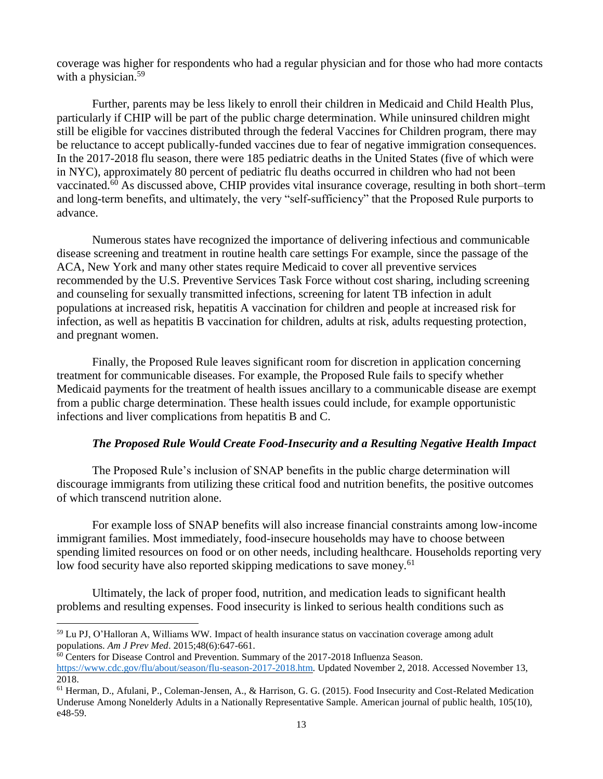coverage was higher for respondents who had a regular physician and for those who had more contacts with a physician.<sup>59</sup>

Further, parents may be less likely to enroll their children in Medicaid and Child Health Plus, particularly if CHIP will be part of the public charge determination. While uninsured children might still be eligible for vaccines distributed through the federal Vaccines for Children program, there may be reluctance to accept publically-funded vaccines due to fear of negative immigration consequences. In the 2017-2018 flu season, there were 185 pediatric deaths in the United States (five of which were in NYC), approximately 80 percent of pediatric flu deaths occurred in children who had not been vaccinated.<sup>60</sup> As discussed above, CHIP provides vital insurance coverage, resulting in both short–term and long-term benefits, and ultimately, the very "self-sufficiency" that the Proposed Rule purports to advance.

Numerous states have recognized the importance of delivering infectious and communicable disease screening and treatment in routine health care settings For example, since the passage of the ACA, New York and many other states require Medicaid to cover all preventive services recommended by the U.S. Preventive Services Task Force without cost sharing, including screening and counseling for sexually transmitted infections, screening for latent TB infection in adult populations at increased risk, hepatitis A vaccination for children and people at increased risk for infection, as well as hepatitis B vaccination for children, adults at risk, adults requesting protection, and pregnant women.

Finally, the Proposed Rule leaves significant room for discretion in application concerning treatment for communicable diseases. For example, the Proposed Rule fails to specify whether Medicaid payments for the treatment of health issues ancillary to a communicable disease are exempt from a public charge determination. These health issues could include, for example opportunistic infections and liver complications from hepatitis B and C.

#### *The Proposed Rule Would Create Food-Insecurity and a Resulting Negative Health Impact*

The Proposed Rule's inclusion of SNAP benefits in the public charge determination will discourage immigrants from utilizing these critical food and nutrition benefits, the positive outcomes of which transcend nutrition alone.

For example loss of SNAP benefits will also increase financial constraints among low-income immigrant families. Most immediately, food-insecure households may have to choose between spending limited resources on food or on other needs, including healthcare. Households reporting very low food security have also reported skipping medications to save money.<sup>61</sup>

Ultimately, the lack of proper food, nutrition, and medication leads to significant health problems and resulting expenses. Food insecurity is linked to serious health conditions such as

<sup>59</sup> Lu PJ, O'Halloran A, Williams WW*.* Impact of health insurance status on vaccination coverage among adult populations. *Am J Prev Med*. 2015;48(6):647-661.

<sup>&</sup>lt;sup>60</sup> Centers for Disease Control and Prevention. Summary of the 2017-2018 Influenza Season.

[https://www.cdc.gov/flu/about/season/flu-season-2017-2018.htm.](https://www.cdc.gov/flu/about/season/flu-season-2017-2018.htm) Updated November 2, 2018. Accessed November 13, 2018.

<sup>61</sup> Herman, D., Afulani, P., Coleman-Jensen, A., & Harrison, G. G. (2015). Food Insecurity and Cost-Related Medication Underuse Among Nonelderly Adults in a Nationally Representative Sample. American journal of public health, 105(10), e48-59.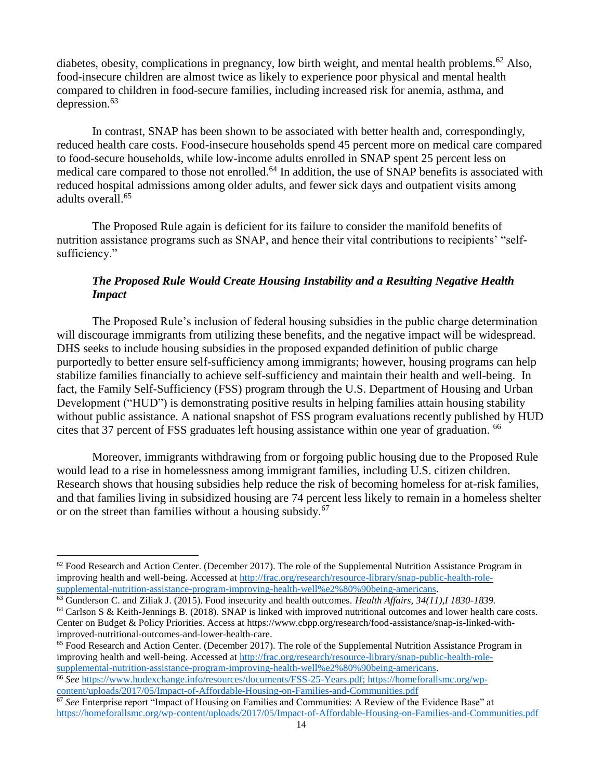diabetes, obesity, complications in pregnancy, low birth weight, and mental health problems.<sup>62</sup> Also, food-insecure children are almost twice as likely to experience poor physical and mental health compared to children in food-secure families, including increased risk for anemia, asthma, and depression. $63$ 

In contrast, SNAP has been shown to be associated with better health and, correspondingly, reduced health care costs. Food-insecure households spend 45 percent more on medical care compared to food-secure households, while low-income adults enrolled in SNAP spent 25 percent less on medical care compared to those not enrolled.<sup>64</sup> In addition, the use of SNAP benefits is associated with reduced hospital admissions among older adults, and fewer sick days and outpatient visits among adults overall.<sup>65</sup>

The Proposed Rule again is deficient for its failure to consider the manifold benefits of nutrition assistance programs such as SNAP, and hence their vital contributions to recipients' "selfsufficiency."

# *The Proposed Rule Would Create Housing Instability and a Resulting Negative Health Impact*

The Proposed Rule's inclusion of federal housing subsidies in the public charge determination will discourage immigrants from utilizing these benefits, and the negative impact will be widespread. DHS seeks to include housing subsidies in the proposed expanded definition of public charge purportedly to better ensure self-sufficiency among immigrants; however, housing programs can help stabilize families financially to achieve self-sufficiency and maintain their health and well-being. In fact, the Family Self-Sufficiency (FSS) program through the U.S. Department of Housing and Urban Development ("HUD") is demonstrating positive results in helping families attain housing stability without public assistance. A national snapshot of FSS program evaluations recently published by HUD cites that 37 percent of FSS graduates left housing assistance within one year of graduation. <sup>66</sup>

Moreover, immigrants withdrawing from or forgoing public housing due to the Proposed Rule would lead to a rise in homelessness among immigrant families, including U.S. citizen children. Research shows that housing subsidies help reduce the risk of becoming homeless for at-risk families, and that families living in subsidized housing are 74 percent less likely to remain in a homeless shelter or on the street than families without a housing subsidy.<sup>67</sup>

<sup>65</sup> Food Research and Action Center. (December 2017). The role of the Supplemental Nutrition Assistance Program in improving health and well-being. Accessed at [http://frac.org/research/resource-library/snap-public-health-role](http://frac.org/research/resource-library/snap-public-health-role-supplemental-nutrition-assistance-program-improving-health-well%e2%80%90being-americans)[supplemental-nutrition-assistance-program-improving-health-well%e2%80%90being-americans.](http://frac.org/research/resource-library/snap-public-health-role-supplemental-nutrition-assistance-program-improving-health-well%e2%80%90being-americans)

 $62$  Food Research and Action Center. (December 2017). The role of the Supplemental Nutrition Assistance Program in improving health and well-being. Accessed at [http://frac.org/research/resource-library/snap-public-health-role](http://frac.org/research/resource-library/snap-public-health-role-supplemental-nutrition-assistance-program-improving-health-well%e2%80%90being-americans)[supplemental-nutrition-assistance-program-improving-health-well%e2%80%90being-americans.](http://frac.org/research/resource-library/snap-public-health-role-supplemental-nutrition-assistance-program-improving-health-well%e2%80%90being-americans)

<sup>63</sup> Gunderson C. and Ziliak J. (2015). Food insecurity and health outcomes. *Health Affairs, 34(11),I 1830-1839.*

<sup>64</sup> Carlson S & Keith-Jennings B. (2018). SNAP is linked with improved nutritional outcomes and lower health care costs. Center on Budget & Policy Priorities. Access at https://www.cbpp.org/research/food-assistance/snap-is-linked-withimproved-nutritional-outcomes-and-lower-health-care.

<sup>66</sup> *See* [https://www.hudexchange.info/resources/documents/FSS-25-Years.pdf;](https://www.hudexchange.info/resources/documents/FSS-25-Years.pdf) [https://homeforallsmc.org/wp](https://homeforallsmc.org/wp-content/uploads/2017/05/Impact-of-Affordable-Housing-on-Families-and-Communities.pdf)[content/uploads/2017/05/Impact-of-Affordable-Housing-on-Families-and-Communities.pdf](https://homeforallsmc.org/wp-content/uploads/2017/05/Impact-of-Affordable-Housing-on-Families-and-Communities.pdf)

<sup>67</sup> *See* Enterprise report "Impact of Housing on Families and Communities: A Review of the Evidence Base" at <https://homeforallsmc.org/wp-content/uploads/2017/05/Impact-of-Affordable-Housing-on-Families-and-Communities.pdf>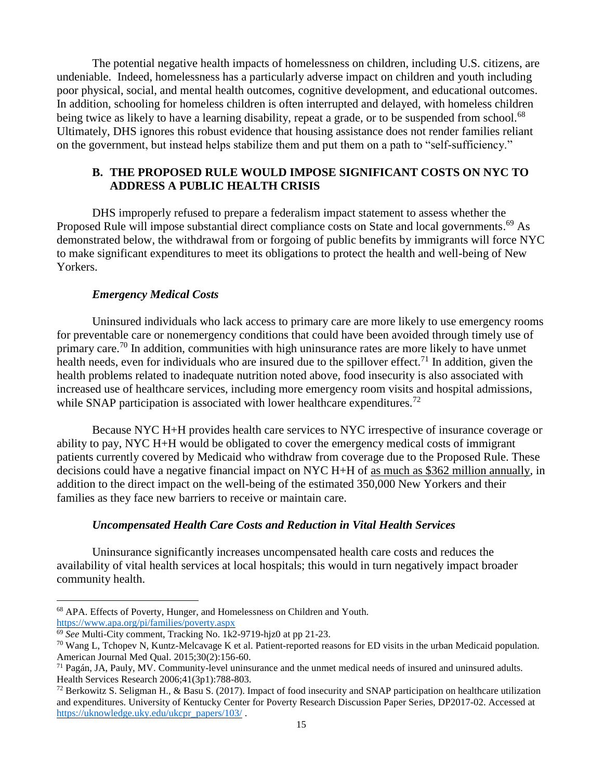The potential negative health impacts of homelessness on children, including U.S. citizens, are undeniable. Indeed, homelessness has a particularly adverse impact on children and youth including poor physical, social, and mental health outcomes, cognitive development, and educational outcomes. In addition, schooling for homeless children is often interrupted and delayed, with homeless children being twice as likely to have a learning disability, repeat a grade, or to be suspended from school.<sup>68</sup> Ultimately, DHS ignores this robust evidence that housing assistance does not render families reliant on the government, but instead helps stabilize them and put them on a path to "self-sufficiency."

## **B. THE PROPOSED RULE WOULD IMPOSE SIGNIFICANT COSTS ON NYC TO ADDRESS A PUBLIC HEALTH CRISIS**

DHS improperly refused to prepare a federalism impact statement to assess whether the Proposed Rule will impose substantial direct compliance costs on State and local governments.<sup>69</sup> As demonstrated below, the withdrawal from or forgoing of public benefits by immigrants will force NYC to make significant expenditures to meet its obligations to protect the health and well-being of New Yorkers.

### *Emergency Medical Costs*

Uninsured individuals who lack access to primary care are more likely to use emergency rooms for preventable care or nonemergency conditions that could have been avoided through timely use of primary care.<sup>70</sup> In addition, communities with high uninsurance rates are more likely to have unmet health needs, even for individuals who are insured due to the spillover effect.<sup>71</sup> In addition, given the health problems related to inadequate nutrition noted above, food insecurity is also associated with increased use of healthcare services, including more emergency room visits and hospital admissions, while SNAP participation is associated with lower healthcare expenditures.<sup>72</sup>

Because NYC H+H provides health care services to NYC irrespective of insurance coverage or ability to pay, NYC H+H would be obligated to cover the emergency medical costs of immigrant patients currently covered by Medicaid who withdraw from coverage due to the Proposed Rule. These decisions could have a negative financial impact on NYC H+H of as much as \$362 million annually, in addition to the direct impact on the well-being of the estimated 350,000 New Yorkers and their families as they face new barriers to receive or maintain care.

## *Uncompensated Health Care Costs and Reduction in Vital Health Services*

Uninsurance significantly increases uncompensated health care costs and reduces the availability of vital health services at local hospitals; this would in turn negatively impact broader community health.

<sup>68</sup> APA. Effects of Poverty, Hunger, and Homelessness on Children and Youth. <https://www.apa.org/pi/families/poverty.aspx>

<sup>69</sup> *See* Multi-City comment, Tracking No. 1k2-9719-hjz0 at pp 21-23.

 $70$  Wang L, Tchopev N, Kuntz-Melcavage K et al. Patient-reported reasons for ED visits in the urban Medicaid population. American Journal Med Qual. 2015;30(2):156-60.

 $71$  Pagán, JA, Pauly, MV. Community-level uninsurance and the unmet medical needs of insured and uninsured adults. Health Services Research 2006;41(3p1):788-803.

 $72$  Berkowitz S. Seligman H., & Basu S. (2017). Impact of food insecurity and SNAP participation on healthcare utilization and expenditures. University of Kentucky Center for Poverty Research Discussion Paper Series, DP2017-02. Accessed at [https://uknowledge.uky.edu/ukcpr\\_papers/103/](https://uknowledge.uky.edu/ukcpr_papers/103/) .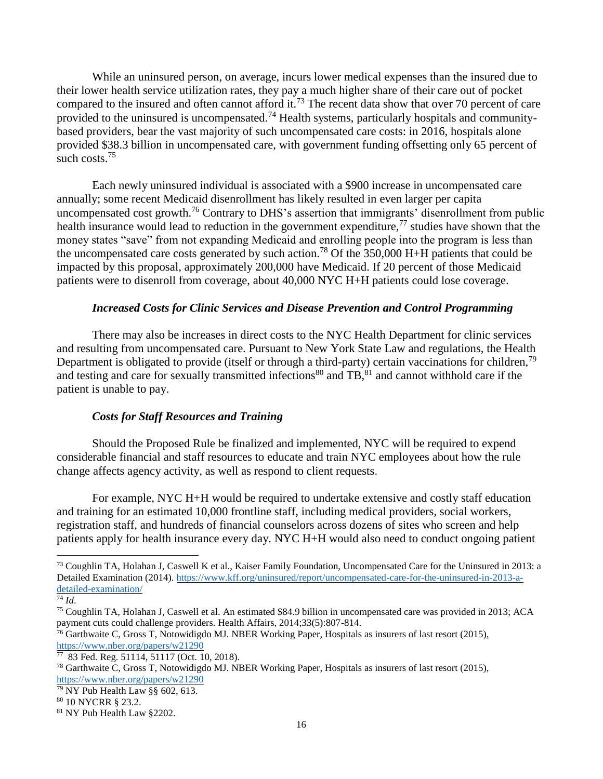While an uninsured person, on average, incurs lower medical expenses than the insured due to their lower health service utilization rates, they pay a much higher share of their care out of pocket compared to the insured and often cannot afford it.<sup>73</sup> The recent data show that over 70 percent of care provided to the uninsured is uncompensated.<sup>74</sup> Health systems, particularly hospitals and communitybased providers, bear the vast majority of such uncompensated care costs: in 2016, hospitals alone provided \$38.3 billion in uncompensated care, with government funding offsetting only 65 percent of such costs.<sup>75</sup>

Each newly uninsured individual is associated with a \$900 increase in uncompensated care annually; some recent Medicaid disenrollment has likely resulted in even larger per capita uncompensated cost growth.<sup>76</sup> Contrary to DHS's assertion that immigrants' disenrollment from public health insurance would lead to reduction in the government expenditure,<sup>77</sup> studies have shown that the money states "save" from not expanding Medicaid and enrolling people into the program is less than the uncompensated care costs generated by such action.<sup>78</sup> Of the 350,000 H+H patients that could be impacted by this proposal, approximately 200,000 have Medicaid. If 20 percent of those Medicaid patients were to disenroll from coverage, about 40,000 NYC H+H patients could lose coverage.

## *Increased Costs for Clinic Services and Disease Prevention and Control Programming*

There may also be increases in direct costs to the NYC Health Department for clinic services and resulting from uncompensated care. Pursuant to New York State Law and regulations, the Health Department is obligated to provide (itself or through a third-party) certain vaccinations for children,<sup>79</sup> and testing and care for sexually transmitted infections<sup>80</sup> and  $TB$ ,  $81$  and cannot withhold care if the patient is unable to pay.

## *Costs for Staff Resources and Training*

Should the Proposed Rule be finalized and implemented, NYC will be required to expend considerable financial and staff resources to educate and train NYC employees about how the rule change affects agency activity, as well as respond to client requests.

For example, NYC H+H would be required to undertake extensive and costly staff education and training for an estimated 10,000 frontline staff, including medical providers, social workers, registration staff, and hundreds of financial counselors across dozens of sites who screen and help patients apply for health insurance every day. NYC H+H would also need to conduct ongoing patient

 $^{73}$  Coughlin TA, Holahan J, Caswell K et al., Kaiser Family Foundation, Uncompensated Care for the Uninsured in 2013: a Detailed Examination (2014). [https://www.kff.org/uninsured/report/uncompensated-care-for-the-uninsured-in-2013-a](https://www.kff.org/uninsured/report/uncompensated-care-for-the-uninsured-in-2013-a-detailed-examination/)[detailed-examination/](https://www.kff.org/uninsured/report/uncompensated-care-for-the-uninsured-in-2013-a-detailed-examination/)

<sup>74</sup> *Id*.

<sup>75</sup> Coughlin TA, Holahan J, Caswell et al. An estimated \$84.9 billion in uncompensated care was provided in 2013; ACA payment cuts could challenge providers. Health Affairs, 2014;33(5):807-814.

<sup>&</sup>lt;sup>76</sup> Garthwaite C, Gross T, Notowidigdo MJ, NBER Working Paper, Hospitals as insurers of last resort (2015), <https://www.nber.org/papers/w21290>

 $77$  83 Fed. Reg. 51114, 51117 (Oct. 10, 2018).

<sup>78</sup> Garthwaite C, Gross T, Notowidigdo MJ. NBER Working Paper, Hospitals as insurers of last resort (2015), <https://www.nber.org/papers/w21290>

 $\frac{79}{79}$  NY Pub Health Law §§ 602, 613.

<sup>80</sup> 10 NYCRR § 23.2.

<sup>81</sup> NY Pub Health Law §2202.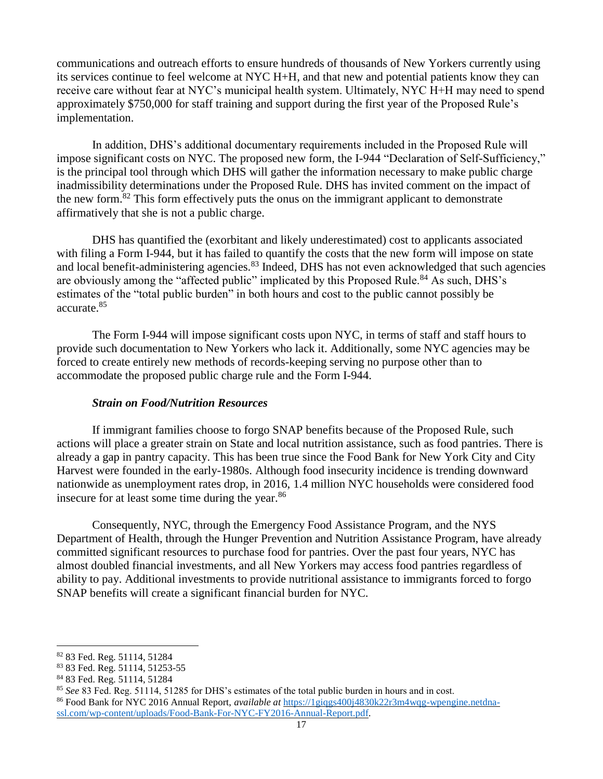communications and outreach efforts to ensure hundreds of thousands of New Yorkers currently using its services continue to feel welcome at NYC H+H, and that new and potential patients know they can receive care without fear at NYC's municipal health system. Ultimately, NYC H+H may need to spend approximately \$750,000 for staff training and support during the first year of the Proposed Rule's implementation.

In addition, DHS's additional documentary requirements included in the Proposed Rule will impose significant costs on NYC. The proposed new form, the I-944 "Declaration of Self-Sufficiency," is the principal tool through which DHS will gather the information necessary to make public charge inadmissibility determinations under the Proposed Rule. DHS has invited comment on the impact of the new form.<sup>82</sup> This form effectively puts the onus on the immigrant applicant to demonstrate affirmatively that she is not a public charge.

DHS has quantified the (exorbitant and likely underestimated) cost to applicants associated with filing a Form I-944, but it has failed to quantify the costs that the new form will impose on state and local benefit-administering agencies.<sup>83</sup> Indeed, DHS has not even acknowledged that such agencies are obviously among the "affected public" implicated by this Proposed Rule.<sup>84</sup> As such, DHS's estimates of the "total public burden" in both hours and cost to the public cannot possibly be accurate.<sup>85</sup>

The Form I-944 will impose significant costs upon NYC, in terms of staff and staff hours to provide such documentation to New Yorkers who lack it. Additionally, some NYC agencies may be forced to create entirely new methods of records-keeping serving no purpose other than to accommodate the proposed public charge rule and the Form I-944.

## *Strain on Food/Nutrition Resources*

If immigrant families choose to forgo SNAP benefits because of the Proposed Rule, such actions will place a greater strain on State and local nutrition assistance, such as food pantries. There is already a gap in pantry capacity. This has been true since the Food Bank for New York City and City Harvest were founded in the early-1980s. Although food insecurity incidence is trending downward nationwide as unemployment rates drop, in 2016, 1.4 million NYC households were considered food insecure for at least some time during the year.<sup>86</sup>

Consequently, NYC, through the Emergency Food Assistance Program, and the NYS Department of Health, through the Hunger Prevention and Nutrition Assistance Program, have already committed significant resources to purchase food for pantries. Over the past four years, NYC has almost doubled financial investments, and all New Yorkers may access food pantries regardless of ability to pay. Additional investments to provide nutritional assistance to immigrants forced to forgo SNAP benefits will create a significant financial burden for NYC.

<sup>82</sup> 83 Fed. Reg. 51114, 51284

<sup>83</sup> 83 Fed. Reg. 51114, 51253-55

<sup>84</sup> 83 Fed. Reg. 51114, 51284

<sup>85</sup> *See* 83 Fed. Reg. 51114, 51285 for DHS's estimates of the total public burden in hours and in cost. <sup>86</sup> Food Bank for NYC 2016 Annual Report, *available at* [https://1giqgs400j4830k22r3m4wqg-wpengine.netdna-](https://1giqgs400j4830k22r3m4wqg-wpengine.netdna-ssl.com/wp-content/uploads/Food-Bank-For-NYC-FY2016-Annual-Report.pdf)

[ssl.com/wp-content/uploads/Food-Bank-For-NYC-FY2016-Annual-Report.pdf.](https://1giqgs400j4830k22r3m4wqg-wpengine.netdna-ssl.com/wp-content/uploads/Food-Bank-For-NYC-FY2016-Annual-Report.pdf)